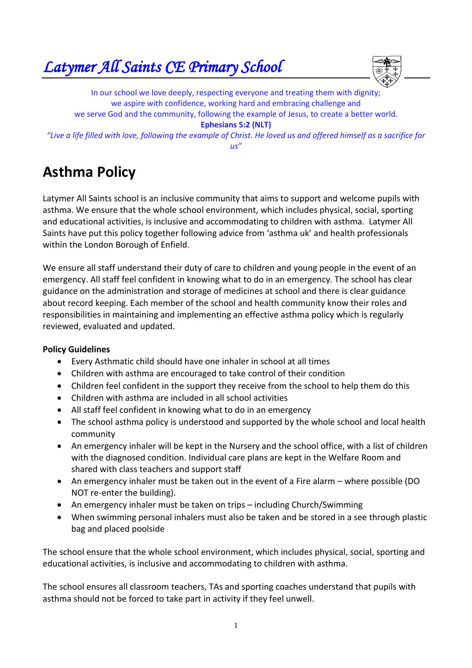*Latymer All Saints CE Primary School* 



In our school we love deeply, respecting everyone and treating them with dignity; we aspire with confidence, working hard and embracing challenge and we serve God and the community, following the example of Jesus, to create a better world. **Ephesians 5:2 (NLT)** *"Live a life filled with love, following the example of Christ. He loved us and offered himself as a sacrifice for us"*

# **Asthma Policy**

Latymer All Saints school is an inclusive community that aims to support and welcome pupils with asthma. We ensure that the whole school environment, which includes physical, social, sporting and educational activities, is inclusive and accommodating to children with asthma. Latymer All Saints have put this policy together following advice from 'asthma uk' and health professionals within the London Borough of Enfield.

We ensure all staff understand their duty of care to children and young people in the event of an emergency. All staff feel confident in knowing what to do in an emergency. The school has clear guidance on the administration and storage of medicines at school and there is clear guidance about record keeping. Each member of the school and health community know their roles and responsibilities in maintaining and implementing an effective asthma policy which is regularly reviewed, evaluated and updated.

## **Policy Guidelines**

- Every Asthmatic child should have one inhaler in school at all times
- Children with asthma are encouraged to take control of their condition
- Children feel confident in the support they receive from the school to help them do this
- Children with asthma are included in all school activities
- All staff feel confident in knowing what to do in an emergency
- The school asthma policy is understood and supported by the whole school and local health community
- An emergency inhaler will be kept in the Nursery and the school office, with a list of children with the diagnosed condition. Individual care plans are kept in the Welfare Room and shared with class teachers and support staff
- An emergency inhaler must be taken out in the event of a Fire alarm where possible (DO NOT re-enter the building).
- An emergency inhaler must be taken on trips including Church/Swimming
- When swimming personal inhalers must also be taken and be stored in a see through plastic bag and placed poolside

The school ensure that the whole school environment, which includes physical, social, sporting and educational activities, is inclusive and accommodating to children with asthma.

The school ensures all classroom teachers, TAs and sporting coaches understand that pupils with asthma should not be forced to take part in activity if they feel unwell.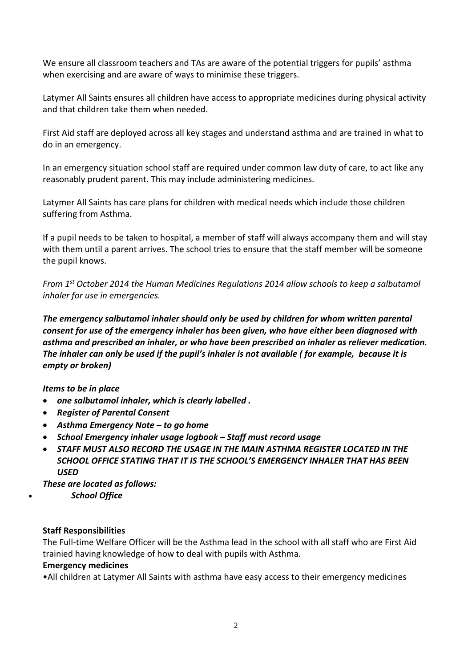We ensure all classroom teachers and TAs are aware of the potential triggers for pupils' asthma when exercising and are aware of ways to minimise these triggers.

Latymer All Saints ensures all children have access to appropriate medicines during physical activity and that children take them when needed.

First Aid staff are deployed across all key stages and understand asthma and are trained in what to do in an emergency.

In an emergency situation school staff are required under common law duty of care, to act like any reasonably prudent parent. This may include administering medicines.

Latymer All Saints has care plans for children with medical needs which include those children suffering from Asthma.

If a pupil needs to be taken to hospital, a member of staff will always accompany them and will stay with them until a parent arrives. The school tries to ensure that the staff member will be someone the pupil knows.

*From 1st October 2014 the Human Medicines Regulations 2014 allow schools to keep a salbutamol inhaler for use in emergencies.*

*The emergency salbutamol inhaler should only be used by children for whom written parental consent for use of the emergency inhaler has been given, who have either been diagnosed with asthma and prescribed an inhaler, or who have been prescribed an inhaler as reliever medication. The inhaler can only be used if the pupil's inhaler is not available ( for example, because it is empty or broken)*

## *Items to be in place*

- *one salbutamol inhaler, which is clearly labelled .*
- *Register of Parental Consent*
- *Asthma Emergency Note – to go home*
- *School Emergency inhaler usage logbook – Staff must record usage*
- *STAFF MUST ALSO RECORD THE USAGE IN THE MAIN ASTHMA REGISTER LOCATED IN THE SCHOOL OFFICE STATING THAT IT IS THE SCHOOL'S EMERGENCY INHALER THAT HAS BEEN USED*

*These are located as follows:*

*School Office*

## **Staff Responsibilities**

The Full-time Welfare Officer will be the Asthma lead in the school with all staff who are First Aid trainied having knowledge of how to deal with pupils with Asthma.

## **Emergency medicines**

•All children at Latymer All Saints with asthma have easy access to their emergency medicines